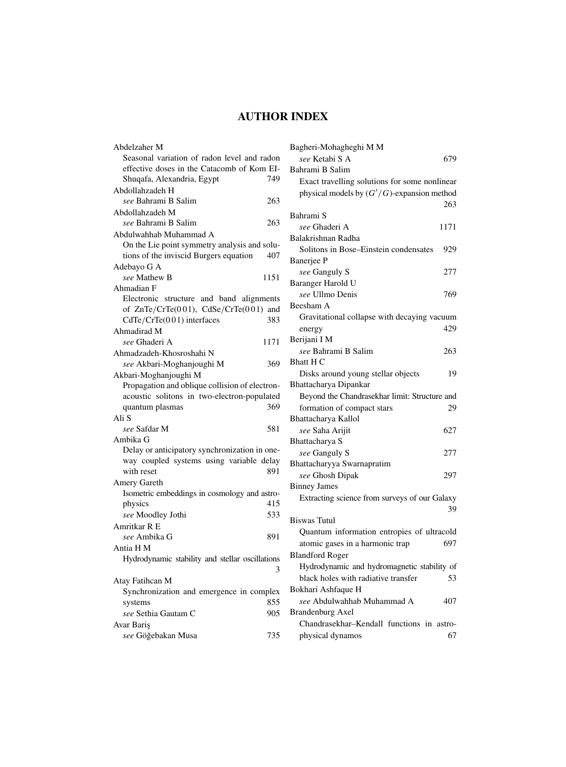# **AUTHOR INDEX**

| Abdelzaher M                                    |  |
|-------------------------------------------------|--|
| Seasonal variation of radon level and radon     |  |
| effective doses in the Catacomb of Kom EI-      |  |
| Shuqafa, Alexandria, Egypt<br>749               |  |
| Abdollahzadeh H                                 |  |
| see Bahrami B Salim<br>263                      |  |
| Abdollahzadeh M                                 |  |
| see Bahrami B Salim<br>263                      |  |
| Abdulwahhab Muhammad A                          |  |
| On the Lie point symmetry analysis and solu-    |  |
| tions of the inviscid Burgers equation<br>407   |  |
| Adebayo G A                                     |  |
| see Mathew B<br>1151                            |  |
| Ahmadian F                                      |  |
| Electronic<br>structure and band alignments     |  |
| of ZnTe/CrTe(001), CdSe/CrTe(001) and           |  |
| CdTe/CrTe(001) interfaces<br>383                |  |
| Ahmadirad M                                     |  |
| see Ghaderi A<br>1171                           |  |
| Ahmadzadeh-Khosroshahi N                        |  |
| see Akbari-Moghanjoughi M<br>369                |  |
| Akbari-Moghanjoughi M                           |  |
| Propagation and oblique collision of electron-  |  |
| acoustic solitons in two-electron-populated     |  |
| 369<br>quantum plasmas                          |  |
| Ali S                                           |  |
| see Safdar M<br>581                             |  |
| Ambika G                                        |  |
| Delay or anticipatory synchronization in one-   |  |
| way coupled systems using variable delay        |  |
| 891<br>with reset                               |  |
| Amery Gareth                                    |  |
| Isometric embeddings in cosmology and astro-    |  |
| 415<br>physics                                  |  |
| 533<br>see Moodley Jothi                        |  |
| Amritkar R E                                    |  |
| see Ambika G<br>891                             |  |
| Antia H M                                       |  |
| Hydrodynamic stability and stellar oscillations |  |
| 3                                               |  |
| Atay Fatihcan M                                 |  |
| Synchronization and emergence in complex        |  |
| 855<br>systems                                  |  |
| 905<br>see Sethia Gautam C                      |  |
| Avar Bariş                                      |  |
| see Göğebakan Musa<br>735                       |  |

| Bagheri-Mohagheghi M M                        |      |
|-----------------------------------------------|------|
| see Ketabi S A                                | 679  |
| Bahrami B Salim                               |      |
| Exact travelling solutions for some nonlinear |      |
| physical models by $(G'/G)$ -expansion method |      |
|                                               | 263  |
| Bahrami S                                     |      |
| see Ghaderi A                                 | 1171 |
| Balakrishnan Radha                            |      |
| Solitons in Bose-Einstein condensates         | 929  |
| Banerjee P                                    |      |
| see Ganguly S                                 | 277  |
| Baranger Harold U                             |      |
| see Ullmo Denis                               | 769  |
| Beesham A                                     |      |
| Gravitational collapse with decaying vacuum   |      |
| energy                                        | 429  |
| Berijani I M                                  |      |
| see Bahrami B Salim                           | 263  |
| <b>Bhatt H C</b>                              |      |
| Disks around young stellar objects            | 19   |
| Bhattacharya Dipankar                         |      |
| Beyond the Chandrasekhar limit: Structure and |      |
| formation of compact stars                    | 29   |
| Bhattacharya Kallol                           |      |
| see Saha Arijit                               | 627  |
| Bhattacharya S                                |      |
| see Ganguly S                                 | 277  |
| Bhattacharyya Swarnapratim                    |      |
| see Ghosh Dipak                               | 297  |
| <b>Binney James</b>                           |      |
| Extracting science from surveys of our Galaxy |      |
|                                               | 39   |
| <b>Biswas Tutul</b>                           |      |
| Quantum information entropies of ultracold    |      |
| atomic gases in a harmonic trap               | 697  |
| <b>Blandford Roger</b>                        |      |
| Hydrodynamic and hydromagnetic stability of   |      |
| black holes with radiative transfer           | 53   |
| Bokhari Ashfaque H                            |      |
| see Abdulwahhab Muhammad A                    | 407  |
| <b>Brandenburg Axel</b>                       |      |
| Chandrasekhar-Kendall functions in astro-     |      |

physical dynamos 67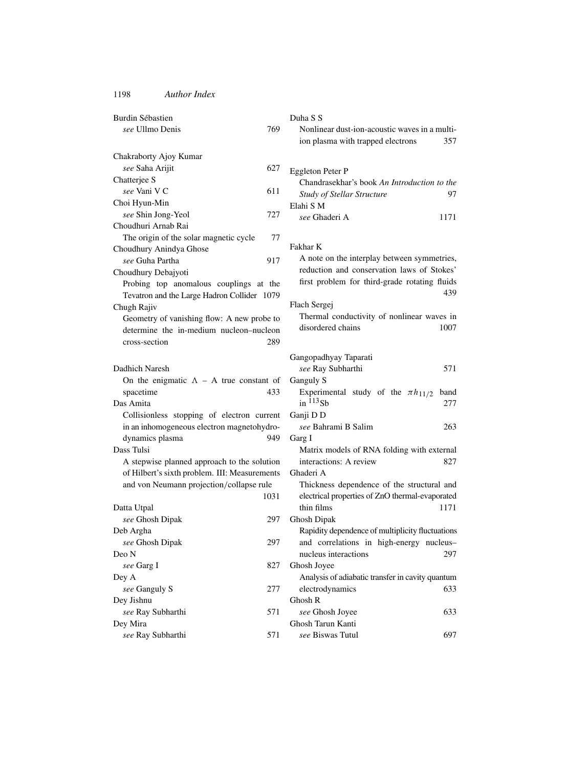| Burdin Sébastien                                                                             | Duha S S                                                                                      |
|----------------------------------------------------------------------------------------------|-----------------------------------------------------------------------------------------------|
| see Ullmo Denis<br>769                                                                       | Nonlinear dust-ion-acoustic waves in a multi-                                                 |
|                                                                                              | ion plasma with trapped electrons<br>357                                                      |
| Chakraborty Ajoy Kumar                                                                       |                                                                                               |
| 627<br>see Saha Arijit                                                                       | Eggleton Peter P                                                                              |
| Chatterjee S                                                                                 | Chandrasekhar's book An Introduction to the                                                   |
| see Vani V C<br>611                                                                          | 97                                                                                            |
| Choi Hyun-Min                                                                                | <b>Study of Stellar Structure</b><br>Elahi S M                                                |
| see Shin Jong-Yeol<br>727                                                                    | see Ghaderi A<br>1171                                                                         |
| Choudhuri Arnab Rai                                                                          |                                                                                               |
| The origin of the solar magnetic cycle<br>77                                                 |                                                                                               |
| Choudhury Anindya Ghose                                                                      | Fakhar K                                                                                      |
| see Guha Partha<br>917                                                                       | A note on the interplay between symmetries,                                                   |
| Choudhury Debajyoti                                                                          | reduction and conservation laws of Stokes'                                                    |
| Probing top anomalous couplings at the                                                       | first problem for third-grade rotating fluids                                                 |
| Tevatron and the Large Hadron Collider 1079                                                  | 439                                                                                           |
| Chugh Rajiv                                                                                  | Flach Sergej                                                                                  |
| Geometry of vanishing flow: A new probe to                                                   | Thermal conductivity of nonlinear waves in                                                    |
| determine the in-medium nucleon-nucleon                                                      | disordered chains<br>1007                                                                     |
| cross-section<br>289                                                                         |                                                                                               |
|                                                                                              |                                                                                               |
|                                                                                              | Gangopadhyay Taparati                                                                         |
| Dadhich Naresh                                                                               | 571<br>see Ray Subharthi                                                                      |
| On the enigmatic $\Lambda$ – A true constant of                                              | Ganguly S                                                                                     |
| spacetime<br>433<br>Das Amita                                                                | Experimental study of the $\pi h_{11/2}$<br>band<br>in $^{113}Sb$                             |
|                                                                                              | 277                                                                                           |
| Collisionless stopping of electron current                                                   | Ganji DD<br>see Bahrami B Salim                                                               |
| in an inhomogeneous electron magnetohydro-                                                   | 263                                                                                           |
| dynamics plasma<br>949<br>Dass Tulsi                                                         | Garg I                                                                                        |
|                                                                                              | Matrix models of RNA folding with external<br>interactions: A review<br>827                   |
| A stepwise planned approach to the solution<br>of Hilbert's sixth problem. III: Measurements | Ghaderi A                                                                                     |
| and von Neumann projection/collapse rule                                                     |                                                                                               |
| 1031                                                                                         | Thickness dependence of the structural and<br>electrical properties of ZnO thermal-evaporated |
| Datta Utpal                                                                                  | thin films<br>1171                                                                            |
| 297                                                                                          |                                                                                               |
| see Ghosh Dipak                                                                              | Ghosh Dipak                                                                                   |
| Deb Argha<br>see Ghosh Dipak<br>297                                                          | Rapidity dependence of multiplicity fluctuations                                              |
| Deo N                                                                                        | and correlations in high-energy nucleus-<br>nucleus interactions<br>297                       |
| see Garg I<br>827                                                                            | Ghosh Joyee                                                                                   |
|                                                                                              | Analysis of adiabatic transfer in cavity quantum                                              |
| Dey A<br>see Ganguly S<br>277                                                                | electrodynamics<br>633                                                                        |
| Dey Jishnu                                                                                   | Ghosh R                                                                                       |
| see Ray Subharthi<br>571                                                                     | see Ghosh Joyee<br>633                                                                        |
| Dey Mira                                                                                     | Ghosh Tarun Kanti                                                                             |
|                                                                                              |                                                                                               |
| see Ray Subharthi<br>571                                                                     | see Biswas Tutul<br>697                                                                       |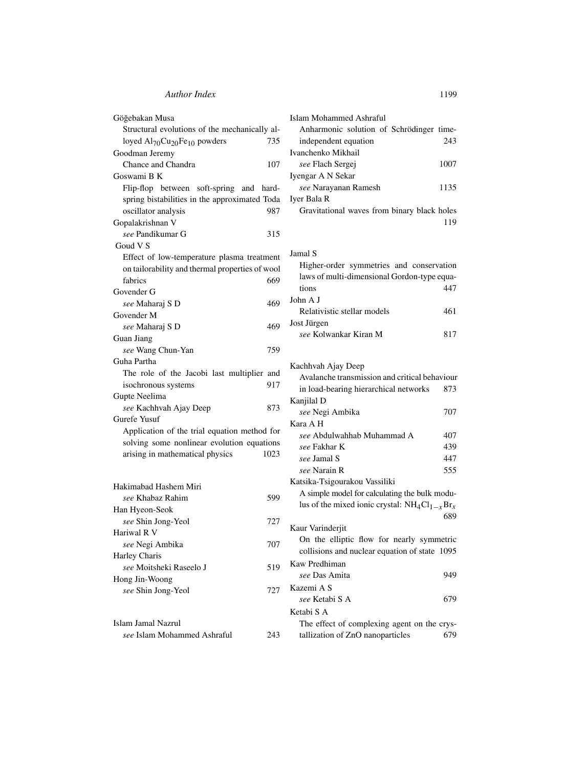| Göğebakan Musa                                             | I |
|------------------------------------------------------------|---|
| Structural evolutions of the mechanically al-              |   |
| loyed Al70Cu <sub>20</sub> Fe <sub>10</sub> powders<br>735 |   |
| Goodman Jeremy                                             | I |
| Chance and Chandra<br>107                                  |   |
| Goswami B K                                                | I |
| Flip-flop between soft-spring and<br>hard-                 |   |
| spring bistabilities in the approximated Toda              | I |
| oscillator analysis<br>987                                 |   |
| Gopalakrishnan V                                           |   |
| see Pandikumar G<br>315                                    |   |
| Goud V S                                                   |   |
| Effect of low-temperature plasma treatment                 | J |
| on tailorability and thermal properties of wool            |   |
| fabrics<br>669                                             |   |
| Govender G                                                 |   |
| see Maharaj S D<br>469                                     | J |
| Govender M                                                 |   |
| see Maharaj S D<br>469                                     | J |
| Guan Jiang                                                 |   |
| see Wang Chun-Yan<br>759                                   |   |
| Guha Partha                                                | l |
| The role of the Jacobi last multiplier and                 |   |
| 917<br>isochronous systems                                 |   |
| Gupte Neelima                                              | l |
| see Kachhvah Ajay Deep<br>873                              |   |
| Gurefe Yusuf                                               | l |
| Application of the trial equation method for               |   |
| solving some nonlinear evolution equations                 |   |
| arising in mathematical physics<br>1023                    |   |
|                                                            |   |
|                                                            | I |
| Hakimabad Hashem Miri                                      |   |
| see Khabaz Rahim<br>599                                    |   |
| Han Hyeon-Seok                                             |   |
| see Shin Jong-Yeol<br>727                                  | l |
| Hariwal R V                                                |   |
| see Negi Ambika<br>707                                     |   |
| Harley Charis                                              | J |
| see Moitsheki Raseelo J<br>519                             |   |
| Hong Jin-Woong                                             |   |
| see Shin Jong-Yeol<br>727                                  | J |
|                                                            |   |
|                                                            | l |
| Islam Jamal Nazrul                                         |   |

| Islam Mohammed Ashraful                     |      |
|---------------------------------------------|------|
| Anharmonic solution of Schrödinger time-    |      |
| independent equation                        | 243  |
| Ivanchenko Mikhail                          |      |
| <i>see</i> Flach Sergej                     | 1007 |
| Iyengar A N Sekar                           |      |
| see Narayanan Ramesh                        | 1135 |
| Iver Bala R                                 |      |
| Gravitational waves from binary black holes |      |
|                                             |      |
|                                             |      |

# Jamal S

| Higher-order symmetries and conservation    |     |
|---------------------------------------------|-----|
| laws of multi-dimensional Gordon-type equa- |     |
| tions                                       | 447 |
| John A J                                    |     |
| Relativistic stellar models                 | 461 |
| Jost Jürgen                                 |     |
| see Kolwankar Kiran M                       |     |

## Kachhvah Ajay Deep

| The TOIC of the Jacobi fast mumpher and      |      | Avalanche transmission and critical behaviour      |     |
|----------------------------------------------|------|----------------------------------------------------|-----|
| isochronous systems                          | 917  | in load-bearing hierarchical networks              | 873 |
| upte Neelima                                 |      | Kanjilal D                                         |     |
| see Kachhvah Ajay Deep                       | 873  | see Negi Ambika                                    | 707 |
| urefe Yusuf                                  |      | Kara A H                                           |     |
| Application of the trial equation method for |      | see Abdulwahhab Muhammad A                         | 407 |
| solving some nonlinear evolution equations   |      | see Fakhar K                                       | 439 |
| arising in mathematical physics              | 1023 | see Jamal S                                        | 447 |
|                                              |      | see Narain R                                       | 555 |
|                                              |      | Katsika-Tsigourakou Vassiliki                      |     |
| akimabad Hashem Miri                         | 599  | A simple model for calculating the bulk modu-      |     |
| see Khabaz Rahim                             |      | lus of the mixed ionic crystal: $NH_4Cl_{1-x}Br_x$ |     |
| an Hyeon-Seok<br>see Shin Jong-Yeol          | 727  |                                                    | 689 |
| ariwal R V                                   |      | Kaur Varinderjit                                   |     |
| see Negi Ambika                              | 707  | On the elliptic flow for nearly symmetric          |     |
| arley Charis                                 |      | collisions and nuclear equation of state 1095      |     |
| see Moitsheki Raseelo J                      | 519  | Kaw Predhiman                                      |     |
| ong Jin-Woong                                |      | see Das Amita                                      | 949 |
| see Shin Jong-Yeol                           | 727  | Kazemi A S                                         |     |
|                                              |      | see Ketabi S A                                     | 679 |
|                                              |      | Ketabi S A                                         |     |
| lam Jamal Nazrul                             |      | The effect of complexing agent on the crys-        |     |
| see Islam Mohammed Ashraful                  | 243  | tallization of ZnO nanoparticles                   | 679 |
|                                              |      |                                                    |     |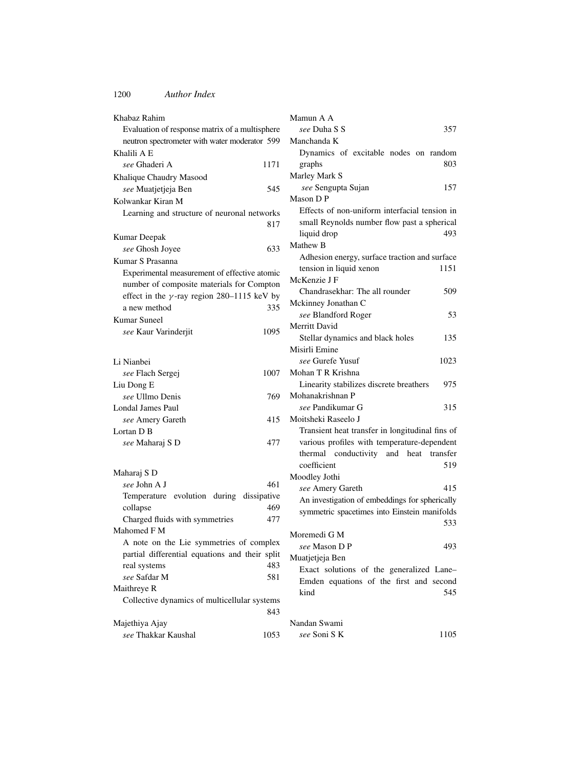| Khabaz Rahim                                         | M |
|------------------------------------------------------|---|
| Evaluation of response matrix of a multisphere       |   |
| neutron spectrometer with water moderator 599        | M |
| Khalili A E                                          |   |
| see Ghaderi A<br>1171                                |   |
| Khalique Chaudry Masood                              | М |
| see Muatjetjeja Ben<br>545                           |   |
| Kolwankar Kiran M                                    | М |
| Learning and structure of neuronal networks          |   |
| 817                                                  |   |
| Kumar Deepak                                         |   |
| see Ghosh Joyee<br>633                               | М |
| Kumar S Prasanna                                     |   |
| Experimental measurement of effective atomic         |   |
| number of composite materials for Compton            | Μ |
| effect in the $\gamma$ -ray region 280-1115 keV by   |   |
| 335<br>a new method                                  | М |
| Kumar Suneel                                         |   |
| see Kaur Varinderjit<br>1095                         | М |
|                                                      |   |
|                                                      | М |
| Li Nianbei                                           |   |
| 1007<br>see Flach Sergej                             | М |
| Liu Dong E                                           |   |
| see Ullmo Denis<br>769                               | М |
| <b>Londal James Paul</b>                             |   |
| 415<br>see Amery Gareth                              | М |
| Lortan D <sub>B</sub>                                |   |
| 477<br>see Maharaj S D                               |   |
|                                                      |   |
|                                                      |   |
| Maharaj S D<br>see John A J<br>461                   | М |
|                                                      |   |
| Temperature evolution during dissipative             |   |
| 469<br>collapse                                      |   |
| Charged fluids with symmetries<br>477<br>Mahomed F M |   |
| A note on the Lie symmetries of complex              | М |
|                                                      |   |
| partial differential equations and their split       | М |
| 483<br>real systems                                  |   |
| see Safdar M<br>581                                  |   |
| Maithreye R                                          |   |
| Collective dynamics of multicellular systems         |   |
| 843                                                  |   |
| Majethiya Ajay                                       | N |
| see Thakkar Kaushal<br>1053                          |   |

| Mamun A A                                       |
|-------------------------------------------------|
| see Duha S S<br>357                             |
| Manchanda K                                     |
| Dynamics of excitable nodes on random           |
| graphs<br>803                                   |
| Marley Mark S                                   |
| see Sengupta Sujan<br>157                       |
| Mason D P                                       |
| Effects of non-uniform interfacial tension in   |
| small Reynolds number flow past a spherical     |
| 493<br>liquid drop                              |
| Mathew B                                        |
| Adhesion energy, surface traction and surface   |
| tension in liquid xenon<br>1151                 |
| McKenzie J F                                    |
|                                                 |
| Chandrasekhar: The all rounder<br>509           |
| Mckinney Jonathan C                             |
| see Blandford Roger<br>53                       |
| Merritt David                                   |
| Stellar dynamics and black holes<br>135         |
| Misirli Emine                                   |
| see Gurefe Yusuf<br>1023                        |
| Mohan T R Krishna                               |
| Linearity stabilizes discrete breathers<br>975  |
| Mohanakrishnan P                                |
| see Pandikumar G<br>315                         |
| Moitsheki Raseelo J                             |
| Transient heat transfer in longitudinal fins of |
| various profiles with temperature-dependent     |
| thermal conductivity and heat transfer          |
| coefficient<br>519                              |
| Moodley Jothi                                   |
| see Amery Gareth<br>415                         |
| An investigation of embeddings for spherically  |
| symmetric spacetimes into Einstein manifolds    |
| 533                                             |
| Moremedi G M                                    |
| 493<br>see Mason D P                            |
| Muatjetjeja Ben                                 |
| Exact solutions of the generalized Lane-        |
| Emden equations of the first and second         |
| kind<br>545                                     |
|                                                 |
|                                                 |
| Nandan Swami                                    |
| see Soni SK<br>1105                             |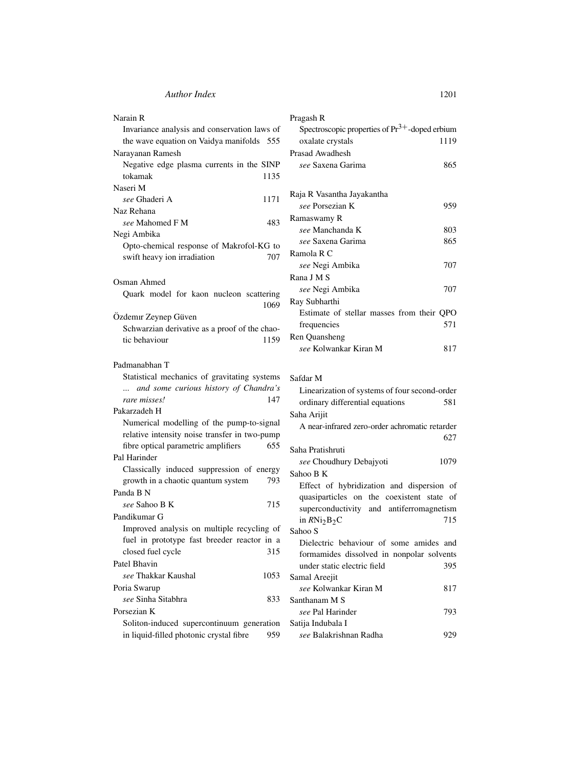| Narain R                                                                                   | Pragash R                                           |
|--------------------------------------------------------------------------------------------|-----------------------------------------------------|
| Invariance analysis and conservation laws of                                               | Spectroscopic properties of $Pr^{3+}$ -doped erbium |
| the wave equation on Vaidya manifolds 555                                                  | oxalate crystals<br>1119                            |
| Narayanan Ramesh                                                                           | Prasad Awadhesh                                     |
| Negative edge plasma currents in the SINP                                                  | see Saxena Garima<br>865                            |
| tokamak<br>1135                                                                            |                                                     |
| Naseri M                                                                                   |                                                     |
| see Ghaderi A<br>1171                                                                      | Raja R Vasantha Jayakantha                          |
| Naz Rehana                                                                                 | see Porsezian K<br>959                              |
| 483<br>see Mahomed F M                                                                     | Ramaswamy R                                         |
| Negi Ambika                                                                                | see Manchanda K<br>803                              |
| Opto-chemical response of Makrofol-KG to                                                   | 865<br>see Saxena Garima                            |
| swift heavy ion irradiation<br>707                                                         | Ramola R C                                          |
|                                                                                            | 707<br>see Negi Ambika                              |
| Osman Ahmed                                                                                | Rana J M S                                          |
| Quark model for kaon nucleon scattering                                                    | 707<br>see Negi Ambika                              |
| 1069                                                                                       | Ray Subharthi                                       |
| Özdemir Zeynep Güven                                                                       | Estimate of stellar masses from their QPO           |
| Schwarzian derivative as a proof of the chao-                                              | 571<br>frequencies                                  |
| tic behaviour<br>1159                                                                      | Ren Quansheng                                       |
|                                                                                            | see Kolwankar Kiran M<br>817                        |
|                                                                                            |                                                     |
| Padmanabhan T                                                                              |                                                     |
| Statistical mechanics of gravitating systems                                               | Safdar M                                            |
| and some curious history of Chandra's<br>rare misses!<br>147                               | Linearization of systems of four second-order       |
| Pakarzadeh H                                                                               | ordinary differential equations<br>581              |
|                                                                                            | Saha Arijit                                         |
| Numerical modelling of the pump-to-signal<br>relative intensity noise transfer in two-pump | A near-infrared zero-order achromatic retarder      |
|                                                                                            | 627                                                 |
| fibre optical parametric amplifiers<br>655                                                 | Saha Pratishruti                                    |
| Pal Harinder                                                                               | 1079<br>see Choudhury Debajyoti                     |
| Classically induced suppression of energy                                                  | Sahoo B K                                           |
| growth in a chaotic quantum system<br>793                                                  | Effect of hybridization and dispersion of           |
| Panda B N                                                                                  | quasiparticles on the coexistent state of           |
| see Sahoo B K<br>715                                                                       | superconductivity and antiferromagnetism            |
| Pandikumar G                                                                               | 715<br>in $RNi2B2C$                                 |
| Improved analysis on multiple recycling of                                                 | Sahoo S                                             |
| fuel in prototype fast breeder reactor in a                                                | Dielectric behaviour of some amides and             |
| closed fuel cycle<br>315                                                                   | formamides dissolved in nonpolar solvents           |
| Patel Bhavin                                                                               | under static electric field<br>395                  |
| see Thakkar Kaushal<br>1053                                                                | Samal Areejit                                       |
| Poria Swarup                                                                               | see Kolwankar Kiran M<br>817                        |
| see Sinha Sitabhra<br>833                                                                  | Santhanam M S                                       |
| Porsezian K                                                                                | see Pal Harinder<br>793                             |
| Soliton-induced supercontinuum generation                                                  | Satija Indubala I                                   |
| in liquid-filled photonic crystal fibre<br>959                                             | see Balakrishnan Radha<br>929                       |

| Pragash R                                           |      |
|-----------------------------------------------------|------|
| Spectroscopic properties of $Pr^{3+}$ -doped erbium |      |
| oxalate crystals                                    | 1119 |
| Prasad Awadhesh                                     |      |
| see Saxena Garima                                   | 865  |
|                                                     |      |
| Raja R Vasantha Jayakantha                          |      |
| see Porsezian K                                     | 959  |
| Ramaswamy R                                         |      |
| see Manchanda K                                     | 803  |
| see Saxena Garima                                   | 865  |
| Ramola R C                                          |      |
| see Negi Ambika                                     | 707  |
| Rana J M S                                          |      |
| see Negi Ambika                                     | 707  |
| Ray Subharthi                                       |      |
| Estimate of stellar masses from their QPO           |      |
| frequencies                                         | 571  |
| Ren Quansheng                                       |      |
| see Kolwankar Kiran M                               | 817  |
|                                                     |      |

| Safdar M                                       |      |
|------------------------------------------------|------|
| Linearization of systems of four second-order  |      |
| ordinary differential equations                | 581  |
| Saha Arijit                                    |      |
| A near-infrared zero-order achromatic retarder |      |
|                                                | 627  |
| Saha Pratishruti                               |      |
| see Choudhury Debajyoti                        | 1079 |
| Sahoo B K                                      |      |
| Effect of hybridization and dispersion of      |      |
| quasiparticles on the coexistent state of      |      |
| superconductivity and antiferromagnetism       |      |
| in $RNi2B2C$                                   | 715  |
| Sahoo S                                        |      |
| Dielectric behaviour of some amides and        |      |
| formamides dissolved in nonpolar solvents      |      |
| under static electric field                    | 395  |
| Samal Areejit                                  |      |
| see Kolwankar Kiran M                          | 817  |
| Santhanam M S                                  |      |
| see Pal Harinder                               | 793  |
| Satija Indubala I                              |      |
| וו חיווח -                                     | 0.20 |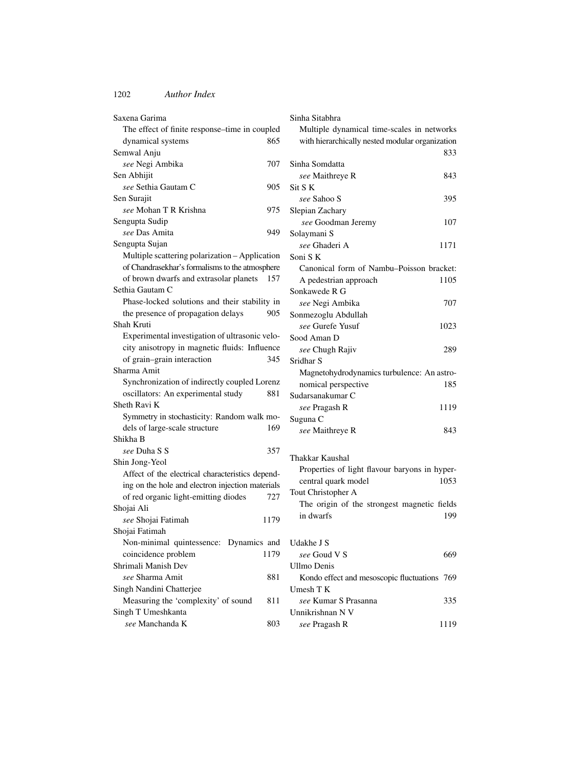| Saxena Garima                                    |      |
|--------------------------------------------------|------|
| The effect of finite response-time in coupled    |      |
| dynamical systems                                | 865  |
| Semwal Anju                                      |      |
| see Negi Ambika                                  | 707  |
| Sen Abhijit                                      |      |
| see Sethia Gautam C                              | 905  |
| Sen Surajit                                      |      |
| see Mohan T R Krishna                            | 975  |
| Sengupta Sudip                                   |      |
| see Das Amita                                    | 949  |
| Sengupta Sujan                                   |      |
| Multiple scattering polarization - Application   |      |
| of Chandrasekhar's formalisms to the atmosphere  |      |
| of brown dwarfs and extrasolar planets           | 157  |
| Sethia Gautam C                                  |      |
| Phase-locked solutions and their stability in    |      |
| the presence of propagation delays               | 905  |
| Shah Kruti                                       |      |
| Experimental investigation of ultrasonic velo-   |      |
| city anisotropy in magnetic fluids: Influence    |      |
| of grain-grain interaction                       | 345  |
| Sharma Amit                                      |      |
| Synchronization of indirectly coupled Lorenz     |      |
| oscillators: An experimental study               | 881  |
| Sheth Ravi K                                     |      |
| Symmetry in stochasticity: Random walk mo-       |      |
| dels of large-scale structure                    | 169  |
| Shikha B                                         |      |
| see Duha S S                                     | 357  |
| Shin Jong-Yeol                                   |      |
| Affect of the electrical characteristics depend- |      |
| ing on the hole and electron injection materials |      |
| of red organic light-emitting diodes             | 727  |
| Shojai Ali                                       |      |
| see Shojai Fatimah                               | 1179 |
| Shojai Fatimah                                   |      |
| Non-minimal quintessence: Dynamics and           |      |
| coincidence problem                              | 1179 |
| Shrimali Manish Dev                              |      |
| see Sharma Amit                                  | 881  |
| Singh Nandini Chatterjee                         |      |
| Measuring the 'complexity' of sound              | 811  |
| Singh T Umeshkanta                               |      |
| see Manchanda K                                  | 803  |

| Sinha Sitabhra                                        |      |
|-------------------------------------------------------|------|
| Multiple dynamical time-scales in networks            |      |
| with hierarchically nested modular organization       |      |
|                                                       | 833  |
| Sinha Somdatta                                        |      |
| see Maithreye R                                       | 843  |
| Sit S K                                               |      |
| see Sahoo S                                           | 395  |
| Slepian Zachary                                       |      |
| see Goodman Jeremy                                    | 107  |
| Solaymani S                                           |      |
| see Ghaderi A                                         | 1171 |
| Soni S K                                              |      |
| Canonical form of Nambu-Poisson bracket:              |      |
| A pedestrian approach                                 | 1105 |
| Sonkawede R G                                         |      |
| see Negi Ambika                                       | 707  |
| Sonmezoglu Abdullah                                   |      |
| see Gurefe Yusuf                                      | 1023 |
| Sood Aman D                                           |      |
| see Chugh Rajiv                                       | 289  |
| Sridhar <sub>S</sub>                                  |      |
| Magnetohydrodynamics turbulence: An astro-            |      |
| nomical perspective                                   | 185  |
| Sudarsanakumar C                                      |      |
| see Pragash R                                         | 1119 |
| Suguna C                                              |      |
| see Maithreye R                                       | 843  |
|                                                       |      |
| Thakkar Kaushal                                       |      |
| Properties of light flavour baryons in hyper-         |      |
| central quark model                                   | 1053 |
| Tout Christopher A                                    |      |
| The origin of the strongest magnetic fields           |      |
| in dwarfs                                             | 199  |
|                                                       |      |
| Udakhe J S                                            |      |
| see Goud V S                                          | 669  |
| <b>Ullmo Denis</b>                                    |      |
|                                                       | 769  |
| Kondo effect and mesoscopic fluctuations<br>Umesh T K |      |
| see Kumar S Prasanna                                  | 335  |
| Unnikrishnan N V                                      |      |
| see Pragash R                                         | 1119 |
|                                                       |      |